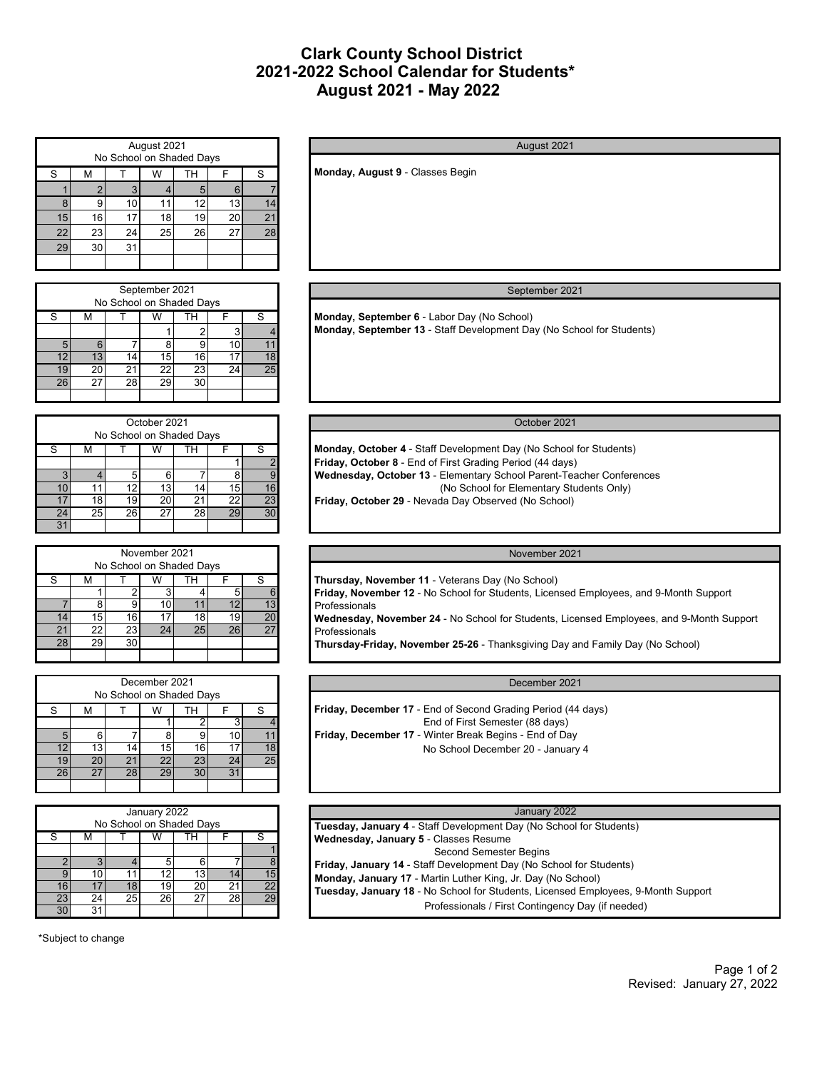# **August 2021 - May 2022 Clark County School District 2021-2022 School Calendar for Students\***

| August 2021<br>No School on Shaded Days    |                |    |    |    |    |    |  |
|--------------------------------------------|----------------|----|----|----|----|----|--|
| S                                          | M              |    | W  | тн | F  | S  |  |
| 1                                          | $\overline{2}$ | 3  | 4  | 5  | 6  |    |  |
| 8                                          | 9              | 10 | 11 | 12 | 13 | 14 |  |
| 15                                         | 16             | 17 | 18 | 19 | 20 | 21 |  |
| 22                                         | 23             | 24 | 25 | 26 | 27 | 28 |  |
| 29                                         | 30             | 31 |    |    |    |    |  |
|                                            |                |    |    |    |    |    |  |
|                                            |                |    |    |    |    |    |  |
| September 2021<br>No School on Shaded Days |                |    |    |    |    |    |  |
| s                                          | М              |    | W  | тн | F  | S  |  |
|                                            |                |    | 1  | 2  | 3  |    |  |
| 5 <sub>1</sub>                             | 6              |    | 8  | 9  | 10 |    |  |

|    |    |     |    |    | 10 |    |
|----|----|-----|----|----|----|----|
| ာ  | 13 | 14  | 15 | 16 |    | 18 |
| 19 | 20 | '1۔ | 22 | 23 | 24 | 25 |
| 26 |    | 28  | 29 | 30 |    |    |
|    |    |     |    |    |    |    |

| October 2021<br>No School on Shaded Days |              |    |    |    |    |                 |  |  |
|------------------------------------------|--------------|----|----|----|----|-----------------|--|--|
| S                                        | TН<br>S<br>м |    |    |    |    |                 |  |  |
|                                          |              |    |    |    |    |                 |  |  |
|                                          |              | 5  | հ  |    | 8  |                 |  |  |
|                                          |              | 12 | 13 |    | 15 | 16              |  |  |
| 17                                       | 18           | 19 | 20 | 21 | 22 | $\overline{23}$ |  |  |
| 24                                       | 25           | 26 | 27 | 28 | 29 | 30              |  |  |
| 31                                       |              |    |    |    |    |                 |  |  |

| November 2021<br>No School on Shaded Days |    |    |    |    |    |    |  |  |
|-------------------------------------------|----|----|----|----|----|----|--|--|
| S                                         | M  |    | w  | ΤН |    | S  |  |  |
|                                           |    |    |    |    | 5  | ห  |  |  |
|                                           | о  |    | 10 |    | 12 | 13 |  |  |
|                                           | 15 | 16 |    | 18 | 19 | 20 |  |  |
| 21                                        | 22 | 23 | 24 | 25 | 26 | 27 |  |  |
| 28                                        | 29 | 30 |    |    |    |    |  |  |
|                                           |    |    |    |    |    |    |  |  |

| December 2021<br>No School on Shaded Days |    |    |    |    |    |    |  |  |
|-------------------------------------------|----|----|----|----|----|----|--|--|
| S                                         | м  |    | W  | ΤН |    | S  |  |  |
|                                           |    |    |    |    |    |    |  |  |
|                                           | 6  |    |    | g  | 10 |    |  |  |
|                                           | 13 |    | 15 | 16 |    | 18 |  |  |
| 19                                        | 20 | 21 | 22 | 23 | 24 | 25 |  |  |
| 26                                        | 27 | 28 | 29 |    |    |    |  |  |
|                                           |    |    |    |    |    |    |  |  |

|    | January 2022<br>No School on Shaded Days |                 |    |    |    |                 |  |  |  |
|----|------------------------------------------|-----------------|----|----|----|-----------------|--|--|--|
| ड  |                                          |                 |    |    |    | Ś               |  |  |  |
|    |                                          |                 |    |    |    |                 |  |  |  |
|    |                                          |                 | 5  | F  |    |                 |  |  |  |
| g  |                                          |                 |    | 13 |    | 15              |  |  |  |
| 16 |                                          |                 | 19 |    | ᠊  | $\overline{22}$ |  |  |  |
| 23 |                                          | $2\overline{5}$ | 26 |    | 28 | 29              |  |  |  |
|    |                                          |                 |    |    |    |                 |  |  |  |

\*Subject to change

**Monday, August 9** - Classes Begin

## September 2021

August 2021

**Monday, September 6** - Labor Day (No School) **Monday, September 13** - Staff Development Day (No School for Students)

## October 2021

**Monday, October 4** - Staff Development Day (No School for Students) **Friday, October 8** - End of First Grading Period (44 days) **Wednesday, October 13** - Elementary School Parent-Teacher Conferences (No School for Elementary Students Only) **Friday, October 29** - Nevada Day Observed (No School)

### November 2021

**Thursday, November 11** - Veterans Day (No School)

**Friday, November 12** - No School for Students, Licensed Employees, and 9-Month Support Professionals

**Wednesday, November 24** - No School for Students, Licensed Employees, and 9-Month Support Professionals

**Thursday-Friday, November 25-26** - Thanksgiving Day and Family Day (No School)

### December 2021

**Friday, December 17** - End of Second Grading Period (44 days) End of First Semester (88 days) **Friday, December 17** - Winter Break Begins - End of Day No School December 20 - January 4

| January 2022                                                                             |
|------------------------------------------------------------------------------------------|
| Tuesday, January 4 - Staff Development Day (No School for Students)                      |
| Wednesday, January 5 - Classes Resume                                                    |
| <b>Second Semester Begins</b>                                                            |
| Friday, January 14 - Staff Development Day (No School for Students)                      |
| Monday, January 17 - Martin Luther King, Jr. Day (No School)                             |
| <b>Tuesday, January 18 - No School for Students, Licensed Employees, 9-Month Support</b> |
| Professionals / First Contingency Day (if needed)                                        |